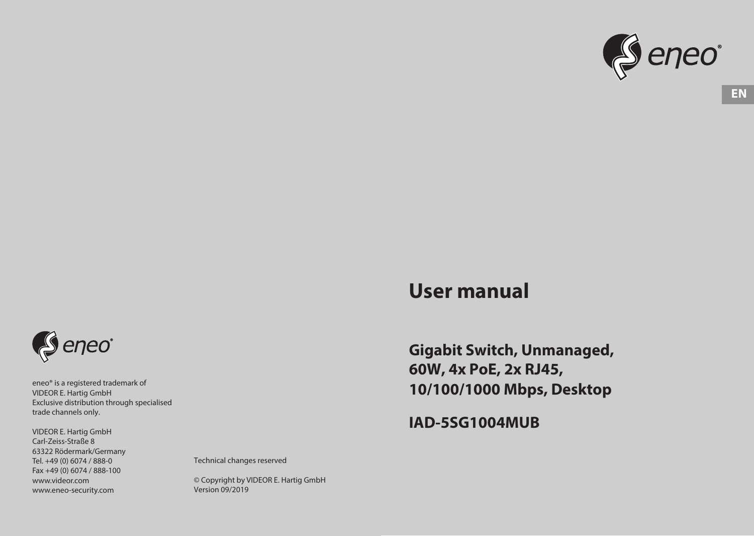

# **User manual**

**Gigabit Switch, Unmanaged, 60W, 4x PoE, 2x RJ45, 10/100/1000 Mbps, Desktop**

**IAD-5SG1004MUB**



eneo® is a registered trademark of VIDEOR E. Hartig GmbH Exclusive distribution through specialised trade channels only.

VIDEOR E. Hartig GmbH Carl-Zeiss-Straße 8 63322 Rödermark/Germany Tel. +49 (0) 6074 / 888-0 Fax +49 (0) 6074 / 888-100 www.videor.com www.eneo-security.com

Technical changes reserved

© Copyright by VIDEOR E. Hartig GmbH Version 09/2019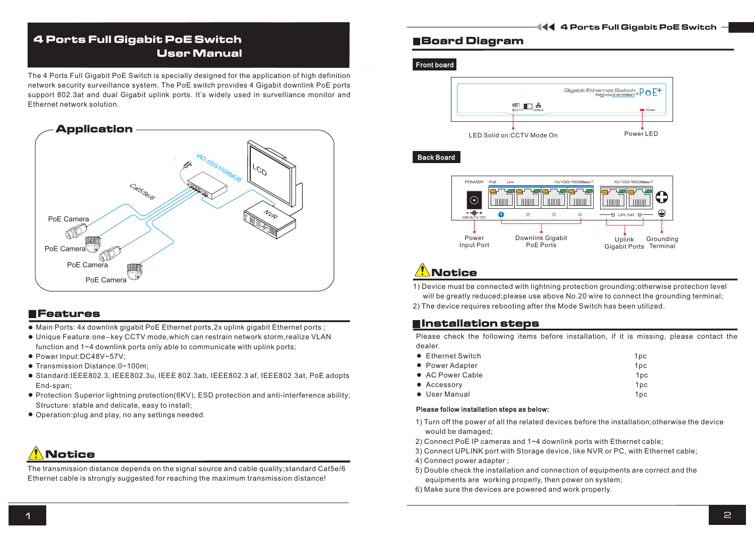## 4 Ports Full Gigabit PoE Switch User Manual

The 4 Ports Full Gigabit PoE Switch is specially designed for the application of high definition network security surveillance system. The PoE switch provides 4 Gigabit downlink PoE ports support 802.3at and dual Gigabit uplink ports. It's widely used in survelliance monitor and Ethernet network solution.



### **EFeatures**

- Main Ports: 4x downlink gigabit PoE Ethernet ports,2x uplink gigabit Ethernet ports ;
- Unique Feature:one-key CCTV mode,which can restrain network storm,realize VLAN function and 1~4 downlink ports only able to communicate with uplink ports;
- Power Input:DC48V~57V;
- Transmission Distance:0~100m;
- Standard:IEEE802.3, IEEE802.3u, IEEE802.3 af, IEEE802.3at, PoE adopts IEEE 802.3ab, End-span;
- Protection:Superior lightning protection(6KV), ESD protection and anti-interference ability; Structure: stable and delicate, easy to install;
- Operation:plug and play, no any settings needed.

# Notice

The transmission distance depends on the signal source and cable quality; standard Cat5e/6 Ethernet cable is strongly suggested for reaching the maximum transmission distance!

### Board Diagram

#### Front board



### **Back Board**



# **Notice**

1) Device must be connected with lightning protection grounding;otherwise protection level will be greatly reduced;please use above No.20 wire to connect the grounding terminal;

2) The device requires rebooting after the Mode Switch has been utilized.

### Installation steps

Please check the following items before installation, if it is missing, please contact the dealer.

| • Ethernet Switch | 1 <sub>DC</sub> |
|-------------------|-----------------|
| • Power Adapter   | 1 <sub>DC</sub> |
| • AC Power Cable  | 1 <sub>pc</sub> |
| • Accessory       | 1 <sub>pc</sub> |
| • User Manual     | 1 <sub>pc</sub> |
|                   |                 |

#### Please follow installation steps as below:

- 1) Turn off the power of all the related devices before the installation;otherwise the device would be damaged;
- 2) Connect PoE IP cameras and 1~4 downlink ports with Ethernet cable;
- 3) Connect UPLINK port with Storage device, like NVR or PC, with Ethernet cable;
- 4) Connect power adapter ;
- 5) Double check the installation and connection of equipments are correct and the equipments are working properly, then power on system;
- 6) Make sure the devices are powered and work properly.